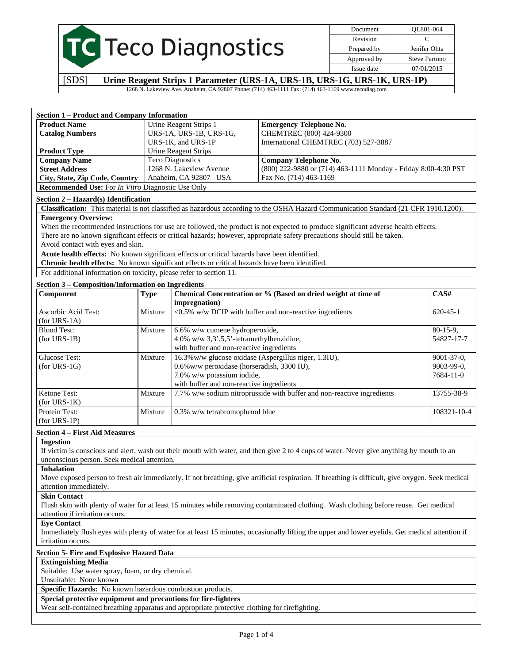|                           | Document    | OL801-064            |
|---------------------------|-------------|----------------------|
|                           | Revision    |                      |
| <b>C</b> Teco Diagnostics | Prepared by | Jenifer Ohta         |
|                           | Approved by | <b>Steve Partono</b> |
|                           | Issue date  | 07/01/2015           |

[SDS] **Urine Reagent Strips 1 Parameter (URS-1A, URS-1B, URS-1G, URS-1K, URS-1P)** 1268 N. Lakeview Ave. Anaheim, CA 92807 Phone: (714) 463-1111 Fax: (714) 463-1169 www.tecodiag.com

| <b>Section 1 – Product and Company Information</b>              |                         |                                                                |
|-----------------------------------------------------------------|-------------------------|----------------------------------------------------------------|
| <b>Product Name</b>                                             | Urine Reagent Strips 1  | <b>Emergency Telephone No.</b>                                 |
| <b>Catalog Numbers</b>                                          | URS-1A, URS-1B, URS-1G, | CHEMTREC (800) 424-9300                                        |
|                                                                 | URS-1K, and URS-1P      | International CHEMTREC (703) 527-3887                          |
| <b>Product Type</b>                                             | Urine Reagent Strips    |                                                                |
| <b>Company Name</b>                                             | <b>Teco Diagnostics</b> | Company Telephone No.                                          |
| <b>Street Address</b>                                           | 1268 N. Lakeview Avenue | (800) 222-9880 or (714) 463-1111 Monday - Friday 8:00-4:30 PST |
| City, State, Zip Code, Country                                  | Anaheim, CA 92807 USA   | Fax No. (714) 463-1169                                         |
| <b>Recommended Use:</b> For <i>In Vitro</i> Diagnostic Use Only |                         |                                                                |

### **Section 2 – Hazard(s) Identification**

**Classification:** This material is not classified as hazardous according to the OSHA Hazard Communication Standard (21 CFR 1910.1200). **Emergency Overview:** 

When the recommended instructions for use are followed, the product is not expected to produce significant adverse health effects. There are no known significant effects or critical hazards; however, appropriate safety precautions should still be taken. Avoid contact with eyes and skin.

**Acute health effects:** No known significant effects or critical hazards have been identified. **Chronic health effects:** No known significant effects or critical hazards have been identified.

For additional information on toxicity, please refer to section 11.

## **Section 3 – Composition/Information on Ingredients**

| Component           | <b>Type</b> | Chemical Concentration or % (Based on dried weight at time of             | CAS#              |
|---------------------|-------------|---------------------------------------------------------------------------|-------------------|
|                     |             | <i>impregnation</i> )                                                     |                   |
| Ascorbic Acid Test: | Mixture     | $\langle 0.5\% \rangle$ w/w DCIP with buffer and non-reactive ingredients | $620 - 45 - 1$    |
| $(for URS-1A)$      |             |                                                                           |                   |
| <b>Blood Test:</b>  | Mixture     | 6.6% w/w cumene hydroperoxide,                                            | $80-15-9$ ,       |
| $(for URS-1B)$      |             | 4.0% w/w $3,3',5,5'$ -tetramethylbenzidine,                               | 54827-17-7        |
|                     |             | with buffer and non-reactive ingredients                                  |                   |
| Glucose Test:       | Mixture     | 16.3% w/w glucose oxidase (Aspergillus niger, 1.3IU),                     | $9001 - 37 - 0$ , |
| $(for URS-1G)$      |             | 0.6% w/w peroxidase (horseradish, 3300 IU),                               | $9003 - 99 - 0$ , |
|                     |             | 7.0% w/w potassium iodide,                                                | $7684 - 11 - 0$   |
|                     |             | with buffer and non-reactive ingredients                                  |                   |
| Ketone Test:        | Mixture     | 7.7% w/w sodium nitroprusside with buffer and non-reactive ingredients    | 13755-38-9        |
| $(for URS-1K)$      |             |                                                                           |                   |
| Protein Test:       | Mixture     | $0.3\%$ w/w tetrabromophenol blue                                         | 108321-10-4       |
| $(for URS-1P)$      |             |                                                                           |                   |

## **Section 4 – First Aid Measures**

### **Ingestion**

If victim is conscious and alert, wash out their mouth with water, and then give 2 to 4 cups of water. Never give anything by mouth to an unconscious person. Seek medical attention.

## **Inhalation**

Move exposed person to fresh air immediately. If not breathing, give artificial respiration. If breathing is difficult, give oxygen. Seek medical attention immediately.

**Skin Contact** 

Flush skin with plenty of water for at least 15 minutes while removing contaminated clothing. Wash clothing before reuse. Get medical attention if irritation occurs.

## **Eye Contact**

Immediately flush eyes with plenty of water for at least 15 minutes, occasionally lifting the upper and lower eyelids. Get medical attention if irritation occurs.

## **Section 5- Fire and Explosive Hazard Data**

### **Extinguishing Media**

Suitable: Use water spray, foam, or dry chemical.

## Unsuitable: None known

**Specific Hazards:** No known hazardous combustion products.

## **Special protective equipment and precautions for fire-fighters**

Wear self-contained breathing apparatus and appropriate protective clothing for firefighting.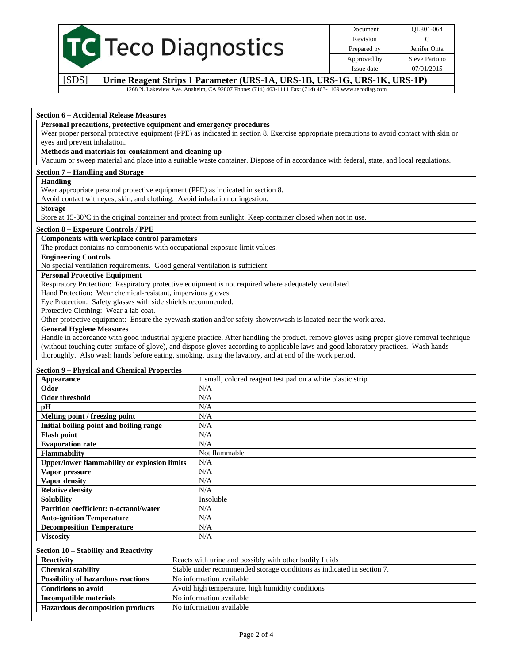|                         | Document    | OL801-064            |
|-------------------------|-------------|----------------------|
|                         | Revision    |                      |
| <b>Teco Diagnostics</b> | Prepared by | Jenifer Ohta         |
|                         | Approved by | <b>Steve Partono</b> |
|                         | Issue date  | 07/01/2015           |

[SDS] **Urine Reagent Strips 1 Parameter (URS-1A, URS-1B, URS-1G, URS-1K, URS-1P)**

1268 N. Lakeview Ave. Anaheim, CA 92807 Phone: (714) 463-1111 Fax: (714) 463-1169 www.tecodiag.com

#### **Section 6 – Accidental Release Measures**

#### **Personal precautions, protective equipment and emergency procedures**

Wear proper personal protective equipment (PPE) as indicated in section 8. Exercise appropriate precautions to avoid contact with skin or eyes and prevent inhalation.

### **Methods and materials for containment and cleaning up**

Vacuum or sweep material and place into a suitable waste container. Dispose of in accordance with federal, state, and local regulations.

#### **Section 7 – Handling and Storage**

## **Handling**

Wear appropriate personal protective equipment (PPE) as indicated in section 8.

Avoid contact with eyes, skin, and clothing. Avoid inhalation or ingestion.

#### **Storage**

Store at 15-30ºC in the original container and protect from sunlight. Keep container closed when not in use.

#### **Section 8 – Exposure Controls / PPE**

### **Components with workplace control parameters**

The product contains no components with occupational exposure limit values.

# **Engineering Controls**

No special ventilation requirements. Good general ventilation is sufficient.

# **Personal Protective Equipment**

Respiratory Protection: Respiratory protective equipment is not required where adequately ventilated.

Hand Protection: Wear chemical-resistant, impervious gloves

Eye Protection: Safety glasses with side shields recommended.

Protective Clothing: Wear a lab coat.

Other protective equipment: Ensure the eyewash station and/or safety shower/wash is located near the work area.

#### **General Hygiene Measures**

Handle in accordance with good industrial hygiene practice. After handling the product, remove gloves using proper glove removal technique (without touching outer surface of glove), and dispose gloves according to applicable laws and good laboratory practices. Wash hands thoroughly. Also wash hands before eating, smoking, using the lavatory, and at end of the work period.

### **Section 9 – Physical and Chemical Properties**

| Appearance                                          | small, colored reagent test pad on a white plastic strip |
|-----------------------------------------------------|----------------------------------------------------------|
| Odor                                                | N/A                                                      |
| <b>Odor threshold</b>                               | N/A                                                      |
| pН                                                  | N/A                                                      |
| Melting point / freezing point                      | N/A                                                      |
| Initial boiling point and boiling range             | N/A                                                      |
| <b>Flash point</b>                                  | N/A                                                      |
| <b>Evaporation rate</b>                             | N/A                                                      |
| <b>Flammability</b>                                 | Not flammable                                            |
| <b>Upper/lower flammability or explosion limits</b> | N/A                                                      |
| Vapor pressure                                      | N/A                                                      |
| <b>Vapor density</b>                                | N/A                                                      |
| <b>Relative density</b>                             | N/A                                                      |
| <b>Solubility</b>                                   | Insoluble                                                |
| <b>Partition coefficient: n-octanol/water</b>       | N/A                                                      |
| <b>Auto-ignition Temperature</b>                    | N/A                                                      |
| <b>Decomposition Temperature</b>                    | N/A                                                      |
| <b>Viscosity</b>                                    | N/A                                                      |

#### **Section 10 – Stability and Reactivity**

| <b>Reactivity</b>                         | Reacts with urine and possibly with other bodily fluids                |
|-------------------------------------------|------------------------------------------------------------------------|
| <b>Chemical stability</b>                 | Stable under recommended storage conditions as indicated in section 7. |
| <b>Possibility of hazardous reactions</b> | No information available                                               |
| <b>Conditions to avoid</b>                | Avoid high temperature, high humidity conditions                       |
| Incompatible materials                    | No information available                                               |
| <b>Hazardous decomposition products</b>   | No information available                                               |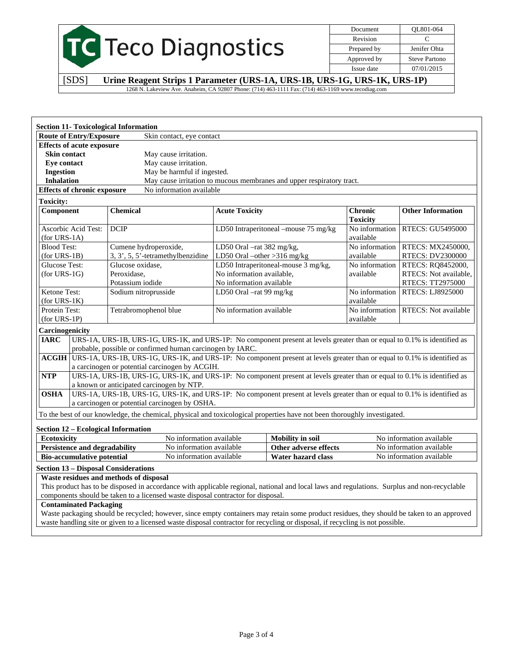|                  | Document    | OL801-064            |
|------------------|-------------|----------------------|
|                  | Revision    |                      |
| Teco Diagnostics | Prepared by | Jenifer Ohta         |
|                  | Approved by | <b>Steve Partono</b> |
|                  | Issue date  | 07/01/2015           |

[SDS] **Urine Reagent Strips 1 Parameter (URS-1A, URS-1B, URS-1G, URS-1K, URS-1P)** 1268 N. Lakeview Ave. Anaheim, CA 92807 Phone: (714) 463-1111 Fax: (714) 463-1169 www.tecodiag.com

|                                |                                      | <b>Section 11- Toxicological Information</b>                                                                                                                                           |                             |                                                                       |                                   |                          |
|--------------------------------|--------------------------------------|----------------------------------------------------------------------------------------------------------------------------------------------------------------------------------------|-----------------------------|-----------------------------------------------------------------------|-----------------------------------|--------------------------|
|                                | <b>Route of Entry/Exposure</b>       | Skin contact, eye contact                                                                                                                                                              |                             |                                                                       |                                   |                          |
|                                | <b>Effects of acute exposure</b>     |                                                                                                                                                                                        |                             |                                                                       |                                   |                          |
| <b>Skin contact</b>            |                                      | May cause irritation.                                                                                                                                                                  |                             |                                                                       |                                   |                          |
| Eye contact                    |                                      | May cause irritation.                                                                                                                                                                  |                             |                                                                       |                                   |                          |
| <b>Ingestion</b>               |                                      | May be harmful if ingested.                                                                                                                                                            |                             |                                                                       |                                   |                          |
| <b>Inhalation</b>              |                                      |                                                                                                                                                                                        |                             | May cause irritation to mucous membranes and upper respiratory tract. |                                   |                          |
|                                | <b>Effects of chronic exposure</b>   | No information available                                                                                                                                                               |                             |                                                                       |                                   |                          |
| <b>Toxicity:</b>               |                                      |                                                                                                                                                                                        |                             |                                                                       |                                   |                          |
| Component                      |                                      | <b>Chemical</b>                                                                                                                                                                        | <b>Acute Toxicity</b>       |                                                                       | <b>Chronic</b><br><b>Toxicity</b> | <b>Other Information</b> |
| $(for URS-1A)$                 | Ascorbic Acid Test:                  | <b>DCIP</b>                                                                                                                                                                            |                             | LD50 Intraperitoneal -mouse 75 mg/kg                                  | No information<br>available       | <b>RTECS: GU5495000</b>  |
| <b>Blood Test:</b>             |                                      | Cumene hydroperoxide,                                                                                                                                                                  | LD50 Oral -rat 382 mg/kg,   |                                                                       | No information                    | RTECS: MX2450000,        |
| $(for URS-1B)$                 |                                      | 3, 3', 5, 5'-tetramethylbenzidine                                                                                                                                                      | LD50 Oral -other >316 mg/kg |                                                                       | available                         | <b>RTECS: DV2300000</b>  |
| <b>Glucose Test:</b>           |                                      | Glucose oxidase,                                                                                                                                                                       |                             | LD50 Intraperitoneal-mouse 3 mg/kg,                                   | No information                    | RTECS: RQ8452000,        |
| $(for URS-1G)$                 |                                      | Peroxidase,                                                                                                                                                                            | No information available,   |                                                                       | available                         | RTECS: Not available,    |
|                                |                                      | Potassium iodide                                                                                                                                                                       | No information available    |                                                                       |                                   | RTECS: TT2975000         |
| Ketone Test:<br>$(for URS-1K)$ |                                      | Sodium nitroprusside                                                                                                                                                                   | LD50 Oral -rat 99 mg/kg     |                                                                       | No information<br>available       | RTECS: LJ8925000         |
| Protein Test:                  |                                      | Tetrabromophenol blue                                                                                                                                                                  | No information available    |                                                                       | No information                    | RTECS: Not available     |
| $(for URS-1P)$                 |                                      |                                                                                                                                                                                        |                             |                                                                       | available                         |                          |
| Carcinogenicity                |                                      |                                                                                                                                                                                        |                             |                                                                       |                                   |                          |
| <b>IARC</b>                    |                                      | URS-1A, URS-1B, URS-1G, URS-1K, and URS-1P: No component present at levels greater than or equal to 0.1% is identified as<br>probable, possible or confirmed human carcinogen by IARC. |                             |                                                                       |                                   |                          |
|                                |                                      | ACGIH URS-1A, URS-1B, URS-1G, URS-1K, and URS-1P: No component present at levels greater than or equal to 0.1% is identified as<br>a carcinogen or potential carcinogen by ACGIH.      |                             |                                                                       |                                   |                          |
| <b>NTP</b>                     |                                      | URS-1A, URS-1B, URS-1G, URS-1K, and URS-1P: No component present at levels greater than or equal to 0.1% is identified as<br>a known or anticipated carcinogen by NTP.                 |                             |                                                                       |                                   |                          |
| <b>OSHA</b>                    |                                      | URS-1A, URS-1B, URS-1G, URS-1K, and URS-1P: No component present at levels greater than or equal to 0.1% is identified as                                                              |                             |                                                                       |                                   |                          |
|                                |                                      | a carcinogen or potential carcinogen by OSHA.                                                                                                                                          |                             |                                                                       |                                   |                          |
|                                |                                      | To the best of our knowledge, the chemical, physical and toxicological properties have not been thoroughly investigated.                                                               |                             |                                                                       |                                   |                          |
|                                |                                      | <b>Section 12 - Ecological Information</b>                                                                                                                                             |                             |                                                                       |                                   |                          |
| <b>Ecotoxicity</b>             |                                      | No information available                                                                                                                                                               |                             | <b>Mobility</b> in soil                                               |                                   | No information available |
|                                | <b>Persistence and degradability</b> | No information available                                                                                                                                                               |                             | Other adverse effects                                                 |                                   | No information available |
|                                | <b>Bio-accumulative potential</b>    | No information available                                                                                                                                                               |                             | <b>Water hazard class</b>                                             |                                   | No information available |
|                                |                                      | <b>Section 13 - Disposal Considerations</b>                                                                                                                                            |                             |                                                                       |                                   |                          |
|                                |                                      | Waste residues and methods of disposal                                                                                                                                                 |                             |                                                                       |                                   |                          |
|                                |                                      | This product has to be disposed in accordance with applicable regional, national and local laws and regulations. Surplus and non-recyclable                                            |                             |                                                                       |                                   |                          |
|                                |                                      | components should be taken to a licensed waste disposal contractor for disposal.                                                                                                       |                             |                                                                       |                                   |                          |
|                                | <b>Contaminated Packaging</b>        |                                                                                                                                                                                        |                             |                                                                       |                                   |                          |
|                                |                                      | Waste packaging should be recycled; however, since empty containers may retain some product residues, they should be taken to an approved                                              |                             |                                                                       |                                   |                          |
|                                |                                      | waste handling site or given to a licensed waste disposal contractor for recycling or disposal, if recycling is not possible.                                                          |                             |                                                                       |                                   |                          |